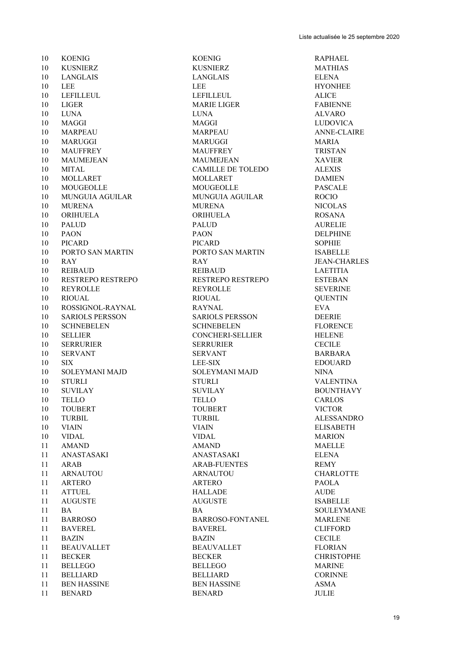KOENIG KOENIG RAPHAEL KUSNIERZ KUSNIERZ MATHIAS LANGLAIS LANGLAIS ELENA 10 LEE HYONHEE 10 LEFILLEUL 2010 LEFILLEUL 2010 LEFILLEUL ALICE LIGER MARIE LIGER FABIENNE LUNA LUNA ALVARO MAGGI MAGGI LUDOVICA MARPEAU MARPEAU ANNE-CLAIRE MARUGGI MARUGGI MARIA MAUFFREY MAUFFREY TRISTAN MAUMEJEAN MAUMEJEAN XAVIER MITAL CAMILLE DE TOLEDO ALEXIS 10 MOLLARET MOLLARET 10 MOUGEOLLE MOUGEOLLE PASCALE MUNGUIA AGUILAR MUNGUIA AGUILAR ROCIO MURENA MURENA NICOLAS ORIHUELA ORIHUELA ROSANA 10 PALUD AURELIE PAON PAON DELPHINE PICARD PICARD SOPHIE PORTO SAN MARTIN PORTO SAN MARTIN ISABELLE RAY RAY JEAN-CHARLES REIBAUD REIBAUD LAETITIA RESTREPO RESTREPO RESTREPO RESTREPO ESTEBAN REYROLLE REYROLLE SEVERINE RIOUAL RIOUAL QUENTIN ROSSIGNOL-RAYNAL RAYNAL EVA SARIOLS PERSSON SARIOLS PERSSON DEERIE SCHNEBELEN SCHNEBELEN FLORENCE SELLIER CONCHERI-SELLIER HELENE SERRURIER SERRURIER CECILE 10 SERVANT SERVANT BARBARA SIX LEE-SIX EDOUARD SOLEYMANI MAJD SOLEYMANI MAJD NINA 10 STURLI STURLI STURLI VALENTINA SUVILAY SUVILAY BOUNTHAVY TELLO TELLO CARLOS 10 TOUBERT TOUBERT VICTOR TURBIL TURBIL ALESSANDRO VIAIN VIAIN ELISABETH VIDAL VIDAL MARION AMAND AMAND MAELLE ANASTASAKI ANASTASAKI ELENA 11 ARAB REMY ARAB-FUENTES ARNAUTOU ARNAUTOU CHARLOTTE ARTERO ARTERO PAOLA ATTUEL HALLADE AUDE AUGUSTE AUGUSTE ISABELLE 11 BA BA SOULEYMANE 11 BARROSO BARROSO-FONTANEL MARLENE BAVEREL BAVEREL CLIFFORD BAZIN BAZIN CECILE 11 BEAUVALLET BEAUVALLET FLORIAN 11 BECKER BECKER BECKER CHRISTOPHE BELLEGO BELLEGO MARINE BELLIARD BELLIARD CORINNE 11 BEN HASSINE BEN HASSINE ASMA

BENARD BENARD JULIE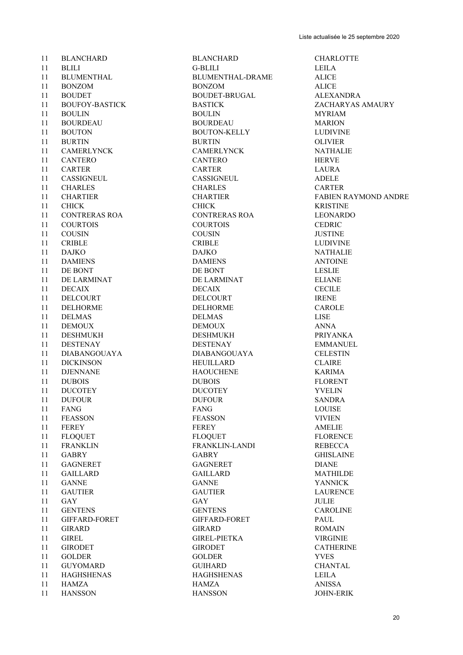BLANCHARD BLANCHARD CHARLOTTE BLILI G-BLILI LEILA 11 BLUMENTHAL BLUMENTHAL-DRAME ALICE BONZOM BONZOM ALICE 11 BOUDET BOUDET-BRUGAL ALEXANDRA BOUFOY-BASTICK BASTICK ZACHARYAS AMAURY BOULIN BOULIN MYRIAM BOURDEAU BOURDEAU MARION 11 BOUTON BOUTON-KELLY BURTIN BURTIN OLIVIER CAMERLYNCK CAMERLYNCK NATHALIE CANTERO CANTERO HERVE CARTER CARTER LAURA CASSIGNEUL CASSIGNEUL ADELE CHARLES CHARLES CARTER CHARTIER CHARTIER FABIEN RAYMOND ANDRE CHICK CHICK KRISTINE CONTRERAS ROA CONTRERAS ROA LEONARDO COURTOIS COURTOIS CEDRIC COUSIN COUSIN JUSTINE 11 CRIBLE LUDIVINE DAJKO DAJKO NATHALIE 11 DAMIENS DAMIENS ANTOINE 11 DE BONT DE BONT LESLIE 11 DE LARMINAT DE LARMINAT ELIANE DECAIX DECAIX CECILE 11 DELCOURT DELCOURT DELOIET IRENE DELHORME DELHORME CAROLE 11 DELMAS LISE DEMOUX DEMOUX ANNA DESHMUKH DESHMUKH PRIYANKA DESTENAY DESTENAY EMMANUEL DIABANGOUAYA DIABANGOUAYA CELESTIN DICKINSON HEUILLARD CLAIRE DJENNANE HAOUCHENE KARIMA DUBOIS DUBOIS FLORENT DUCOTEY DUCOTEY YVELIN DUFOUR DUFOUR SANDRA FANG FANG LOUISE FEASSON FEASSON VIVIEN FEREY FEREY AMELIE FLOQUET FLOQUET FLORENCE FRANKLIN FRANKLIN-LANDI REBECCA GABRY GABRY GHISLAINE GAGNERET GAGNERET DIANE GAILLARD GAILLARD MATHILDE GANNE GANNE YANNICK GAUTIER GAUTIER LAURENCE GAY GAY JULIE GENTENS GENTENS CAROLINE GIFFARD-FORET GIFFARD-FORET PAUL GIRARD GIRARD ROMAIN GIREL GIREL-PIETKA VIRGINIE GIRODET GIRODET CATHERINE GOLDER GOLDER YVES GUYOMARD GUIHARD CHANTAL HAGHSHENAS HAGHSHENAS LEILA 11 HAMZA ANISSA

HANSSON HANSSON JOHN-ERIK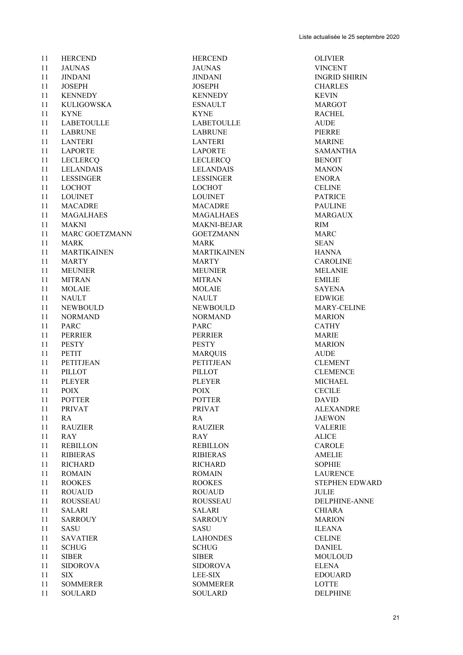| 11 | <b>HERCEND</b>     | <b>HERCEND</b>         | <b>OLIVIER</b>    |
|----|--------------------|------------------------|-------------------|
| 11 | <b>JAUNAS</b>      | <b>JAUNAS</b>          | <b>VINCENT</b>    |
| 11 | <b>JINDANI</b>     | <b>JINDANI</b>         | <b>INGRID SHI</b> |
| 11 | <b>JOSEPH</b>      | <b>JOSEPH</b>          | <b>CHARLES</b>    |
| 11 | <b>KENNEDY</b>     | <b>KENNEDY</b>         | <b>KEVIN</b>      |
| 11 | <b>KULIGOWSKA</b>  | <b>ESNAULT</b>         | <b>MARGOT</b>     |
| 11 | <b>KYNE</b>        | <b>KYNE</b>            | <b>RACHEL</b>     |
| 11 | <b>LABETOULLE</b>  | <b>LABETOULLE</b>      | <b>AUDE</b>       |
| 11 | <b>LABRUNE</b>     | <b>LABRUNE</b>         | PIERRE            |
| 11 | <b>LANTERI</b>     | <b>LANTERI</b>         | <b>MARINE</b>     |
| 11 | <b>LAPORTE</b>     | <b>LAPORTE</b>         | <b>SAMANTHA</b>   |
| 11 | <b>LECLERCQ</b>    | <b>LECLERCQ</b>        | <b>BENOIT</b>     |
| 11 | <b>LELANDAIS</b>   | <b>LELANDAIS</b>       | <b>MANON</b>      |
| 11 | <b>LESSINGER</b>   | <b>LESSINGER</b>       | <b>ENORA</b>      |
| 11 | <b>LOCHOT</b>      | <b>LOCHOT</b>          | <b>CELINE</b>     |
| 11 | <b>LOUINET</b>     | <b>LOUINET</b>         | <b>PATRICE</b>    |
| 11 | <b>MACADRE</b>     | <b>MACADRE</b>         | <b>PAULINE</b>    |
| 11 | <b>MAGALHAES</b>   | <b>MAGALHAES</b>       | <b>MARGAUX</b>    |
| 11 | <b>MAKNI</b>       | <b>MAKNI-BEJAR</b>     | <b>RIM</b>        |
| 11 | MARC GOETZMANN     | <b>GOETZMANN</b>       | <b>MARC</b>       |
| 11 | <b>MARK</b>        | <b>MARK</b>            | <b>SEAN</b>       |
| 11 | <b>MARTIKAINEN</b> | <b>MARTIKAINEN</b>     | <b>HANNA</b>      |
| 11 | <b>MARTY</b>       | <b>MARTY</b>           | <b>CAROLINE</b>   |
| 11 | <b>MEUNIER</b>     | <b>MEUNIER</b>         | <b>MELANIE</b>    |
| 11 | <b>MITRAN</b>      | <b>MITRAN</b>          | <b>EMILIE</b>     |
| 11 | <b>MOLAIE</b>      | <b>MOLAIE</b>          | <b>SAYENA</b>     |
| 11 | <b>NAULT</b>       | <b>NAULT</b>           | <b>EDWIGE</b>     |
| 11 | <b>NEWBOULD</b>    | <b>NEWBOULD</b>        | MARY-CEL          |
| 11 | <b>NORMAND</b>     | <b>NORMAND</b>         | <b>MARION</b>     |
| 11 | <b>PARC</b>        | PARC                   | <b>CATHY</b>      |
| 11 | <b>PERRIER</b>     | <b>PERRIER</b>         | <b>MARIE</b>      |
| 11 | <b>PESTY</b>       | <b>PESTY</b>           | <b>MARION</b>     |
| 11 | <b>PETIT</b>       | <b>MARQUIS</b>         | <b>AUDE</b>       |
| 11 | <b>PETITJEAN</b>   | <b>PETITJEAN</b>       | <b>CLEMENT</b>    |
| 11 | <b>PILLOT</b>      | <b>PILLOT</b>          | <b>CLEMENCE</b>   |
| 11 | <b>PLEYER</b>      | <b>PLEYER</b>          | <b>MICHAEL</b>    |
| 11 | <b>POIX</b>        | <b>POIX</b>            | <b>CECILE</b>     |
|    |                    |                        |                   |
| 11 | <b>POTTER</b>      | <b>POTTER</b>          | <b>DAVID</b>      |
| 11 | <b>PRIVAT</b>      | <b>PRIVAT</b>          | <b>ALEXANDR</b>   |
| 11 | RA                 | RA                     | <b>JAEWON</b>     |
| 11 | <b>RAUZIER</b>     | <b>RAUZIER</b>         | <b>VALERIE</b>    |
| 11 | <b>RAY</b>         | <b>RAY</b>             | <b>ALICE</b>      |
| 11 | <b>REBILLON</b>    | <b>REBILLON</b>        | <b>CAROLE</b>     |
| 11 | <b>RIBIERAS</b>    | <b>RIBIERAS</b>        | <b>AMELIE</b>     |
| 11 | <b>RICHARD</b>     | <b>RICHARD</b>         | <b>SOPHIE</b>     |
| 11 | <b>ROMAIN</b>      | <b>ROMAIN</b>          | <b>LAURENCE</b>   |
| 11 | <b>ROOKES</b>      | <b>ROOKES</b>          | <b>STEPHEN E</b>  |
| 11 | <b>ROUAUD</b>      | <b>ROUAUD</b>          | <b>JULIE</b>      |
| 11 | <b>ROUSSEAU</b>    | <b>ROUSSEAU</b>        | DELPHINE-         |
| 11 | <b>SALARI</b>      | <b>SALARI</b>          | <b>CHIARA</b>     |
| 11 | <b>SARROUY</b>     | <b>SARROUY</b>         | <b>MARION</b>     |
| 11 | SASU               | <b>SASU</b>            | <b>ILEANA</b>     |
| 11 | <b>SAVATIER</b>    | <b>LAHONDES</b>        | <b>CELINE</b>     |
| 11 | <b>SCHUG</b>       | $\operatorname{SCHUG}$ | <b>DANIEL</b>     |
| 11 | <b>SIBER</b>       | <b>SIBER</b>           | <b>MOULOUD</b>    |
| 11 | <b>SIDOROVA</b>    | <b>SIDOROVA</b>        | <b>ELENA</b>      |
| 11 | <b>SIX</b>         | <b>LEE-SIX</b>         | <b>EDOUARD</b>    |
| 11 | <b>SOMMERER</b>    | <b>SOMMERER</b>        | <b>LOTTE</b>      |

 HERCEND HERCEND OLIVIER JINDANI JINDANI INGRID SHIRIN NEWBOULD MARY-CELINE ROOKES STEPHEN EDWARD ROUSSEAU DELPHINE-ANNE SALARI CHIARA